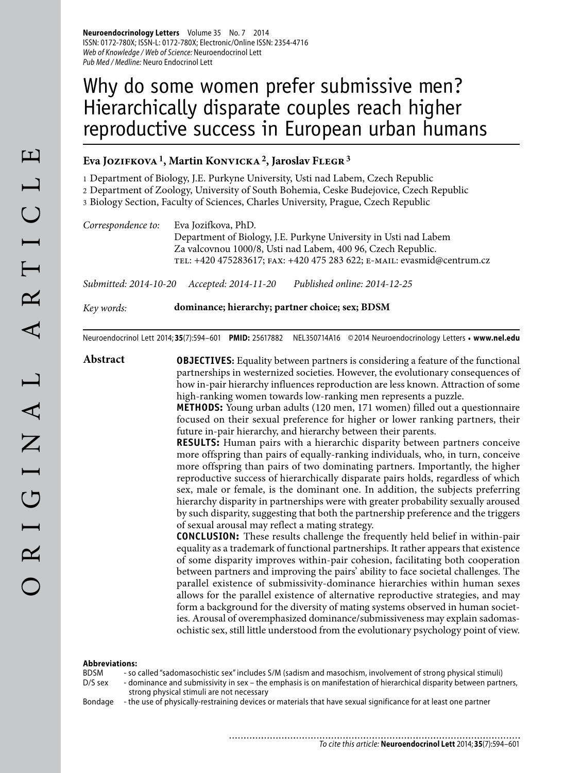**Neuroendocrinology Letters** Volume 35 No. 7 2014 ISSN: 0172-780X; ISSN-L: 0172-780X; Electronic/Online ISSN: 2354-4716 Web of Knowledge / Web of Science: Neuroendocrinol Lett Pub Med / Medline: Neuro Endocrinol Lett

# Why do some women prefer submissive men? Hierarchically disparate couples reach higher reproductive success in European urban humans

## **Eva Jozifkova 1, Martin Konvicka 2, Jaroslav Flegr 3**

1 Department of Biology, J.E. Purkyne University, Usti nad Labem, Czech Republic

2 Department of Zoology, University of South Bohemia, Ceske Budejovice, Czech Republic

3 Biology Section, Faculty of Sciences, Charles University, Prague, Czech Republic

*Correspondence to:* Eva Jozifkova, PhD. Department of Biology, J.E. Purkyne University in Usti nad Labem Za valcovnou 1000/8, Usti nad Labem, 400 96, Czech Republic. tel: +420 475283617; fax: +420 475 283 622; e-mail: evasmid@centrum.cz

*Submitted: 2014-10-20 Accepted: 2014-11-20 Published online: 2014-12-25*

*Key words:* **dominance; hierarchy; partner choice; sex; BDSM**

Neuroendocrinol Lett 2014; **35**(7):594–601 **PMID:** 25617882 NEL350714A16 © 2014 Neuroendocrinology Letters • **www.nel.edu**

**Abstract OBJECTIVES:** Equality between partners is considering a feature of the functional partnerships in westernized societies. However, the evolutionary consequences of how in-pair hierarchy influences reproduction are less known. Attraction of some high-ranking women towards low-ranking men represents a puzzle.

> **METHODS:** Young urban adults (120 men, 171 women) filled out a questionnaire focused on their sexual preference for higher or lower ranking partners, their future in-pair hierarchy, and hierarchy between their parents.

> **RESULTS:** Human pairs with a hierarchic disparity between partners conceive more offspring than pairs of equally-ranking individuals, who, in turn, conceive more offspring than pairs of two dominating partners. Importantly, the higher reproductive success of hierarchically disparate pairs holds, regardless of which sex, male or female, is the dominant one. In addition, the subjects preferring hierarchy disparity in partnerships were with greater probability sexually aroused by such disparity, suggesting that both the partnership preference and the triggers of sexual arousal may reflect a mating strategy.

> **CONCLUSION:** These results challenge the frequently held belief in within-pair equality as a trademark of functional partnerships. It rather appears that existence of some disparity improves within-pair cohesion, facilitating both cooperation between partners and improving the pairs' ability to face societal challenges. The parallel existence of submissivity-dominance hierarchies within human sexes allows for the parallel existence of alternative reproductive strategies, and may form a background for the diversity of mating systems observed in human societies. Arousal of overemphasized dominance/submissiveness may explain sadomasochistic sex, still little understood from the evolutionary psychology point of view.

#### **Abbreviations:**

BDSM - so called "sadomasochistic sex" includes S/M (sadism and masochism, involvement of strong physical stimuli)

D/S sex - dominance and submissivity in sex – the emphasis is on manifestation of hierarchical disparity between partners, strong physical stimuli are not necessary

Bondage - the use of physically-restraining devices or materials that have sexual significance for at least one partner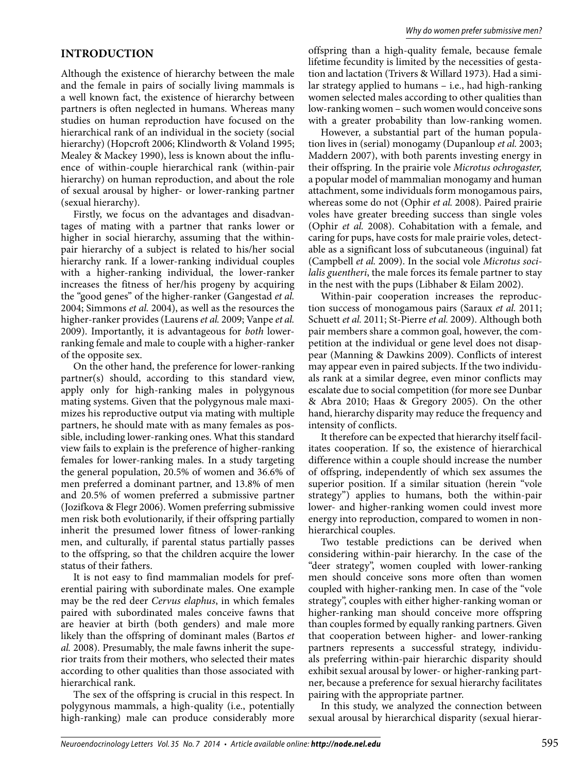## **INTRODUCTION**

Although the existence of hierarchy between the male and the female in pairs of socially living mammals is a well known fact, the existence of hierarchy between partners is often neglected in humans. Whereas many studies on human reproduction have focused on the hierarchical rank of an individual in the society (social hierarchy) (Hopcroft 2006; Klindworth & Voland 1995; Mealey & Mackey 1990), less is known about the influence of within-couple hierarchical rank (within-pair hierarchy) on human reproduction, and about the role of sexual arousal by higher- or lower-ranking partner (sexual hierarchy).

Firstly, we focus on the advantages and disadvantages of mating with a partner that ranks lower or higher in social hierarchy, assuming that the withinpair hierarchy of a subject is related to his/her social hierarchy rank. If a lower-ranking individual couples with a higher-ranking individual, the lower-ranker increases the fitness of her/his progeny by acquiring the "good genes" of the higher-ranker (Gangestad *et al.*  2004; Simmons *et al.* 2004), as well as the resources the higher-ranker provides (Laurens *et al.* 2009; Vanpe *et al.*  2009). Importantly, it is advantageous for *both* lowerranking female and male to couple with a higher-ranker of the opposite sex.

On the other hand, the preference for lower-ranking partner(s) should, according to this standard view, apply only for high-ranking males in polygynous mating systems. Given that the polygynous male maximizes his reproductive output via mating with multiple partners, he should mate with as many females as possible, including lower-ranking ones. What this standard view fails to explain is the preference of higher-ranking females for lower-ranking males. In a study targeting the general population, 20.5% of women and 36.6% of men preferred a dominant partner, and 13.8% of men and 20.5% of women preferred a submissive partner (Jozifkova & Flegr 2006). Women preferring submissive men risk both evolutionarily, if their offspring partially inherit the presumed lower fitness of lower-ranking men, and culturally, if parental status partially passes to the offspring, so that the children acquire the lower status of their fathers.

It is not easy to find mammalian models for preferential pairing with subordinate males. One example may be the red deer *Cervus elaphus*, in which females paired with subordinated males conceive fawns that are heavier at birth (both genders) and male more likely than the offspring of dominant males (Bartos *et al.* 2008). Presumably, the male fawns inherit the superior traits from their mothers, who selected their mates according to other qualities than those associated with hierarchical rank.

The sex of the offspring is crucial in this respect. In polygynous mammals, a high-quality (i.e., potentially high-ranking) male can produce considerably more offspring than a high-quality female, because female lifetime fecundity is limited by the necessities of gestation and lactation (Trivers & Willard 1973). Had a similar strategy applied to humans – i.e., had high-ranking women selected males according to other qualities than low-ranking women – such women would conceive sons with a greater probability than low-ranking women.

However, a substantial part of the human population lives in (serial) monogamy (Dupanloup *et al.* 2003; Maddern 2007), with both parents investing energy in their offspring. In the prairie vole *Microtus ochrogaster,*  a popular model of mammalian monogamy and human attachment, some individuals form monogamous pairs, whereas some do not (Ophir *et al.* 2008). Paired prairie voles have greater breeding success than single voles (Ophir *et al.* 2008). Cohabitation with a female, and caring for pups, have costs for male prairie voles, detectable as a significant loss of subcutaneous (inguinal) fat (Campbell *et al.* 2009). In the social vole *Microtus socilalis guentheri*, the male forces its female partner to stay in the nest with the pups (Libhaber & Eilam 2002).

Within-pair cooperation increases the reproduction success of monogamous pairs (Saraux *et al.* 2011; Schuett *et al.* 2011; St-Pierre *et al.* 2009). Although both pair members share a common goal, however, the competition at the individual or gene level does not disappear (Manning & Dawkins 2009). Conflicts of interest may appear even in paired subjects. If the two individuals rank at a similar degree, even minor conflicts may escalate due to social competition (for more see Dunbar & Abra 2010; Haas & Gregory 2005). On the other hand, hierarchy disparity may reduce the frequency and intensity of conflicts.

It therefore can be expected that hierarchy itself facilitates cooperation. If so, the existence of hierarchical difference within a couple should increase the number of offspring, independently of which sex assumes the superior position. If a similar situation (herein "vole strategy") applies to humans, both the within-pair lower- and higher-ranking women could invest more energy into reproduction, compared to women in nonhierarchical couples.

Two testable predictions can be derived when considering within-pair hierarchy. In the case of the "deer strategy", women coupled with lower-ranking men should conceive sons more often than women coupled with higher-ranking men. In case of the "vole strategy", couples with either higher-ranking woman or higher-ranking man should conceive more offspring than couples formed by equally ranking partners. Given that cooperation between higher- and lower-ranking partners represents a successful strategy, individuals preferring within-pair hierarchic disparity should exhibit sexual arousal by lower- or higher-ranking partner, because a preference for sexual hierarchy facilitates pairing with the appropriate partner.

In this study, we analyzed the connection between sexual arousal by hierarchical disparity (sexual hierar-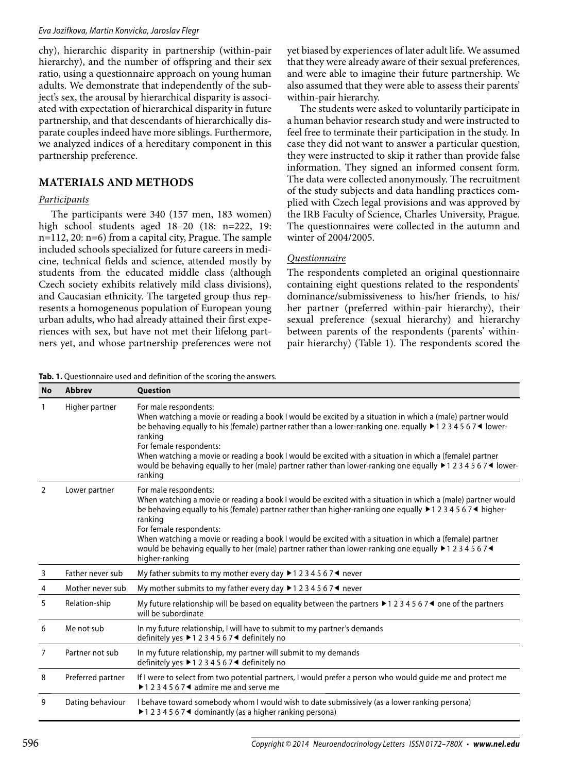#### Eva Jozifkova, Martin Konvicka, Jaroslav Flegr

chy), hierarchic disparity in partnership (within-pair hierarchy), and the number of offspring and their sex ratio, using a questionnaire approach on young human adults. We demonstrate that independently of the subject's sex, the arousal by hierarchical disparity is associated with expectation of hierarchical disparity in future partnership, and that descendants of hierarchically disparate couples indeed have more siblings. Furthermore, we analyzed indices of a hereditary component in this partnership preference.

## **MATERIALS AND METHODS**

### *Participants*

The participants were 340 (157 men, 183 women) high school students aged 18–20 (18: n=222, 19: n=112, 20: n=6) from a capital city, Prague. The sample included schools specialized for future careers in medicine, technical fields and science, attended mostly by students from the educated middle class (although Czech society exhibits relatively mild class divisions), and Caucasian ethnicity. The targeted group thus represents a homogeneous population of European young urban adults, who had already attained their first experiences with sex, but have not met their lifelong partners yet, and whose partnership preferences were not yet biased by experiences of later adult life. We assumed that they were already aware of their sexual preferences, and were able to imagine their future partnership. We also assumed that they were able to assess their parents' within-pair hierarchy.

The students were asked to voluntarily participate in a human behavior research study and were instructed to feel free to terminate their participation in the study. In case they did not want to answer a particular question, they were instructed to skip it rather than provide false information. They signed an informed consent form. The data were collected anonymously. The recruitment of the study subjects and data handling practices complied with Czech legal provisions and was approved by the IRB Faculty of Science, Charles University, Prague. The questionnaires were collected in the autumn and winter of 2004/2005.

## *Questionnaire*

The respondents completed an original questionnaire containing eight questions related to the respondents' dominance/submissiveness to his/her friends, to his/ her partner (preferred within-pair hierarchy), their sexual preference (sexual hierarchy) and hierarchy between parents of the respondents (parents' withinpair hierarchy) (Table 1). The respondents scored the

**Tab. 1.** Questionnaire used and definition of the scoring the answers.

| <b>No</b> | <b>Abbrev</b>     | <b>Question</b>                                                                                                                                                                                                                                                                                                                                                                                                                                                                                                          |
|-----------|-------------------|--------------------------------------------------------------------------------------------------------------------------------------------------------------------------------------------------------------------------------------------------------------------------------------------------------------------------------------------------------------------------------------------------------------------------------------------------------------------------------------------------------------------------|
| 1         | Higher partner    | For male respondents:<br>When watching a movie or reading a book I would be excited by a situation in which a (male) partner would<br>be behaving equally to his (female) partner rather than a lower-ranking one. equally ▶1 2 3 4 5 6 7 ◀ lower-<br>ranking<br>For female respondents:<br>When watching a movie or reading a book I would be excited with a situation in which a (female) partner<br>would be behaving equally to her (male) partner rather than lower-ranking one equally ▶1234567◀ lower-<br>ranking |
| 2         | Lower partner     | For male respondents:<br>When watching a movie or reading a book I would be excited with a situation in which a (male) partner would<br>be behaving equally to his (female) partner rather than higher-ranking one equally ▶1234567◀ higher-<br>ranking<br>For female respondents:<br>When watching a movie or reading a book I would be excited with a situation in which a (female) partner<br>would be behaving equally to her (male) partner rather than lower-ranking one equally ▶1234567◀<br>higher-ranking       |
| 3         | Father never sub  | My father submits to my mother every day $\blacktriangleright$ 1 2 3 4 5 6 7 $\blacktriangleleft$ never                                                                                                                                                                                                                                                                                                                                                                                                                  |
| 4         | Mother never sub  | My mother submits to my father every day $\blacktriangleright$ 1 2 3 4 5 6 7 $\blacktriangleleft$ never                                                                                                                                                                                                                                                                                                                                                                                                                  |
| 5         | Relation-ship     | My future relationship will be based on equality between the partners $\blacktriangleright$ 1 2 3 4 5 6 7 $\blacktriangleleft$ one of the partners<br>will be subordinate                                                                                                                                                                                                                                                                                                                                                |
| 6         | Me not sub        | In my future relationship, I will have to submit to my partner's demands<br>definitely yes ▶1234567◀ definitely no                                                                                                                                                                                                                                                                                                                                                                                                       |
| 7         | Partner not sub   | In my future relationship, my partner will submit to my demands<br>definitely yes ▶1234567◀ definitely no                                                                                                                                                                                                                                                                                                                                                                                                                |
| 8         | Preferred partner | If I were to select from two potential partners, I would prefer a person who would guide me and protect me<br>▶ 1 2 3 4 5 6 7 ◀ admire me and serve me                                                                                                                                                                                                                                                                                                                                                                   |
| 9         | Dating behaviour  | I behave toward somebody whom I would wish to date submissively (as a lower ranking persona)<br>$\blacktriangleright$ 1 2 3 4 5 6 7 $\blacktriangleleft$ dominantly (as a higher ranking persona)                                                                                                                                                                                                                                                                                                                        |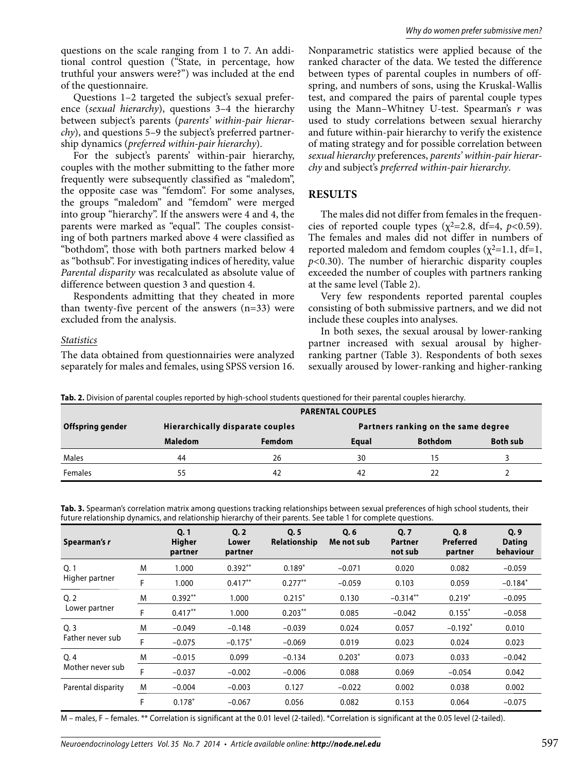questions on the scale ranging from 1 to 7. An additional control question ("State, in percentage, how truthful your answers were?") was included at the end of the questionnaire.

Questions 1–2 targeted the subject's sexual preference (*sexual hierarchy*), questions 3–4 the hierarchy between subject's parents (*parents' within-pair hierarchy*), and questions 5–9 the subject's preferred partnership dynamics (*preferred within-pair hierarchy*).

For the subject's parents' within-pair hierarchy, couples with the mother submitting to the father more frequently were subsequently classified as "maledom", the opposite case was "femdom". For some analyses, the groups "maledom" and "femdom" were merged into group "hierarchy". If the answers were 4 and 4, the parents were marked as "equal". The couples consisting of both partners marked above 4 were classified as "bothdom", those with both partners marked below 4 as "bothsub". For investigating indices of heredity, value *Parental disparity* was recalculated as absolute value of difference between question 3 and question 4.

Respondents admitting that they cheated in more than twenty-five percent of the answers  $(n=33)$  were excluded from the analysis.

#### *Statistics*

The data obtained from questionnairies were analyzed separately for males and females, using SPSS version 16.

Nonparametric statistics were applied because of the ranked character of the data. We tested the difference between types of parental couples in numbers of offspring, and numbers of sons, using the Kruskal-Wallis test, and compared the pairs of parental couple types using the Mann–Whitney U-test. Spearman's *r* was used to study correlations between sexual hierarchy and future within-pair hierarchy to verify the existence of mating strategy and for possible correlation between *sexual hierarchy* preferences, *parents' within-pair hierarchy* and subject's *preferred within-pair hierarchy*.

#### **RESULTS**

The males did not differ from females in the frequencies of reported couple types  $(\chi^2=2.8, df=4, p<0.59)$ . The females and males did not differ in numbers of reported maledom and femdom couples  $(\chi^2=1.1, df=1,$ *p<*0.30). The number of hierarchic disparity couples exceeded the number of couples with partners ranking at the same level (Table 2).

Very few respondents reported parental couples consisting of both submissive partners, and we did not include these couples into analyses.

In both sexes, the sexual arousal by lower-ranking partner increased with sexual arousal by higherranking partner (Table 3). Respondents of both sexes sexually aroused by lower-ranking and higher-ranking

|  |  |  |  | Tab. 2. Division of parental couples reported by high-school students questioned for their parental couples hierarchy. |
|--|--|--|--|------------------------------------------------------------------------------------------------------------------------|
|  |  |  |  |                                                                                                                        |

|                  | <b>PARENTAL COUPLES</b>          |               |                                     |                |                 |  |  |  |  |  |  |  |
|------------------|----------------------------------|---------------|-------------------------------------|----------------|-----------------|--|--|--|--|--|--|--|
| Offspring gender | Hierarchically disparate couples |               | Partners ranking on the same degree |                |                 |  |  |  |  |  |  |  |
|                  | <b>Maledom</b>                   | <b>Femdom</b> | Equal                               | <b>Bothdom</b> | <b>Both sub</b> |  |  |  |  |  |  |  |
| Males            | 44                               | 26            | 30                                  | ל ו            |                 |  |  |  |  |  |  |  |
| <b>Females</b>   | 55                               | 42            | 42                                  |                |                 |  |  |  |  |  |  |  |

**Tab. 3.** Spearman's correlation matrix among questions tracking relationships between sexual preferences of high school students, their future relationship dynamics, and relationship hierarchy of their parents. See table 1 for complete questions.

| Spearman's r       |   | Q <sub>1</sub><br><b>Higher</b><br>partner | Q.2<br>Lower<br>partner | Q.5<br>Relationship | Q, 6<br>Me not sub | Q.7<br><b>Partner</b><br>not sub | Q.8<br>Preferred<br>partner | Q, 9<br><b>Dating</b><br>behaviour |
|--------------------|---|--------------------------------------------|-------------------------|---------------------|--------------------|----------------------------------|-----------------------------|------------------------------------|
| Q.1                | M | 1.000                                      | $0.392**$               | $0.189*$            | $-0.071$           | 0.020                            | 0.082                       | $-0.059$                           |
| Higher partner     | F | 1.000                                      | $0.417**$               | $0.277**$           | $-0.059$           | 0.103                            | 0.059                       | $-0.184*$                          |
| Q <sub>2</sub>     | M | $0.392**$                                  | 1.000                   | $0.215*$            | 0.130              | $-0.314**$                       | $0.219*$                    | $-0.095$                           |
| Lower partner      | F | $0.417***$                                 | 1.000                   | $0.203***$          | 0.085              | $-0.042$                         | $0.155*$                    | $-0.058$                           |
| Q.3                | M | $-0.049$                                   | $-0.148$                | $-0.039$            | 0.024              | 0.057                            | $-0.192*$                   | 0.010                              |
| Father never sub   | F | $-0.075$                                   | $-0.175*$               | $-0.069$            | 0.019              | 0.023                            | 0.024                       | 0.023                              |
| O.4                | M | $-0.015$                                   | 0.099                   | $-0.134$            | $0.203*$           | 0.073                            | 0.033                       | $-0.042$                           |
| Mother never sub   | F | $-0.037$                                   | $-0.002$                | $-0.006$            | 0.088              | 0.069                            | $-0.054$                    | 0.042                              |
| Parental disparity | M | $-0.004$                                   | $-0.003$                | 0.127               | $-0.022$           | 0.002                            | 0.038                       | 0.002                              |
|                    | F | $0.178*$                                   | $-0.067$                | 0.056               | 0.082              | 0.153                            | 0.064                       | $-0.075$                           |

M – males, F – females. \*\* Correlation is significant at the 0.01 level (2-tailed). \*Correlation is significant at the 0.05 level (2-tailed).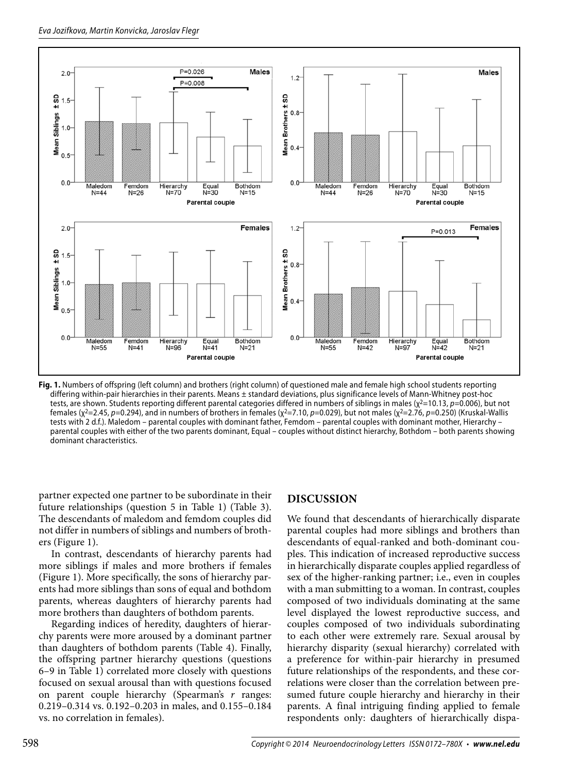

**Fig. 1.** Numbers of offspring (left column) and brothers (right column) of questioned male and female high school students reporting differing within-pair hierarchies in their parents. Means ± standard deviations, plus significance levels of Mann-Whitney post-hoc tests, are shown. Students reporting different parental categories differed in numbers of siblings in males ( $\chi^2$ =10.13, p=0.006), but not females (χ<sup>2</sup>=2.45, p=0.294), and in numbers of brothers in females (χ<sup>2</sup>=7.10, p=0.029), but not males (χ<sup>2</sup>=2.76, p=0.250) (Kruskal-Wallis tests with 2 d.f.). Maledom – parental couples with dominant father, Femdom – parental couples with dominant mother, Hierarchy – parental couples with either of the two parents dominant, Equal – couples without distinct hierarchy, Bothdom – both parents showing dominant characteristics.

partner expected one partner to be subordinate in their future relationships (question 5 in Table 1) (Table 3). The descendants of maledom and femdom couples did not differ in numbers of siblings and numbers of brothers (Figure 1).

In contrast, descendants of hierarchy parents had more siblings if males and more brothers if females (Figure 1). More specifically, the sons of hierarchy parents had more siblings than sons of equal and bothdom parents, whereas daughters of hierarchy parents had more brothers than daughters of bothdom parents.

Regarding indices of heredity, daughters of hierarchy parents were more aroused by a dominant partner than daughters of bothdom parents (Table 4). Finally, the offspring partner hierarchy questions (questions 6–9 in Table 1) correlated more closely with questions focused on sexual arousal than with questions focused on parent couple hierarchy (Spearman's *r* ranges: 0.219–0.314 vs. 0.192–0.203 in males, and 0.155–0.184 vs. no correlation in females).

## **DISCUSSION**

We found that descendants of hierarchically disparate parental couples had more siblings and brothers than descendants of equal-ranked and both-dominant couples. This indication of increased reproductive success in hierarchically disparate couples applied regardless of sex of the higher-ranking partner; i.e., even in couples with a man submitting to a woman. In contrast, couples composed of two individuals dominating at the same level displayed the lowest reproductive success, and couples composed of two individuals subordinating to each other were extremely rare. Sexual arousal by hierarchy disparity (sexual hierarchy) correlated with a preference for within-pair hierarchy in presumed future relationships of the respondents, and these correlations were closer than the correlation between presumed future couple hierarchy and hierarchy in their parents. A final intriguing finding applied to female respondents only: daughters of hierarchically dispa-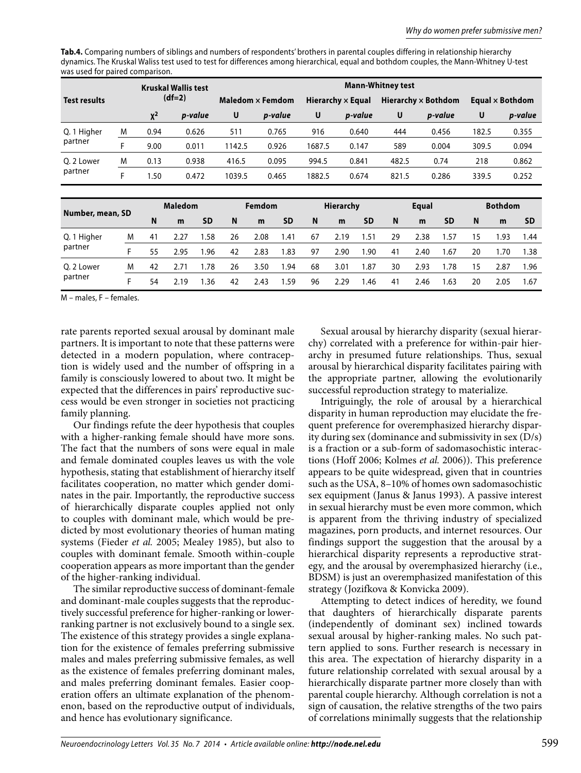**Tab.4.** Comparing numbers of siblings and numbers of respondents' brothers in parental couples differing in relationship hierarchy dynamics. The Kruskal Waliss test used to test for differences among hierarchical, equal and bothdom couples, the Mann-Whitney U-test was used for paired comparison.

|                     |   |                                        |      |                         | <b>Mann-Whitney test</b> |                   |           |                            |                  |           |                        |               |           |       |                |           |  |
|---------------------|---|----------------------------------------|------|-------------------------|--------------------------|-------------------|-----------|----------------------------|------------------|-----------|------------------------|---------------|-----------|-------|----------------|-----------|--|
| <b>Test results</b> |   | <b>Kruskal Wallis test</b><br>$(df=2)$ |      | Maledom $\times$ Femdom |                          | Hierarchy x Equal |           | <b>Hierarchy × Bothdom</b> |                  |           | Equal $\times$ Bothdom |               |           |       |                |           |  |
|                     |   | $X^2$                                  |      | p-value                 | U                        |                   | p-value   | U                          |                  | p-value   | U                      |               | p-value   | U     |                | p-value   |  |
| Q. 1 Higher         | M | 0.94                                   |      | 0.626                   |                          |                   | 0.765     | 916                        |                  | 0.640     | 444                    |               | 0.456     | 182.5 |                | 0.355     |  |
| partner             | F | 9.00                                   |      | 0.011                   | 1142.5                   |                   | 0.926     | 1687.5                     |                  | 0.147     | 589                    |               | 0.004     | 309.5 |                | 0.094     |  |
| O. 2 Lower          | M | 0.13                                   |      | 0.938                   | 416.5                    |                   | 0.095     |                            | 994.5            | 0.841     |                        | 482.5<br>0.74 |           |       | 218<br>0.862   |           |  |
| partner             | F | 1.50                                   |      | 0.472                   |                          | 1039.5<br>0.465   |           | 1882.5                     |                  | 0.674     | 821.5                  |               | 0.286     |       | 339.5<br>0.252 |           |  |
|                     |   |                                        |      |                         |                          |                   |           |                            |                  |           |                        |               |           |       |                |           |  |
|                     |   |                                        |      | <b>Maledom</b>          |                          | Femdom            |           |                            | <b>Hierarchy</b> |           |                        | Equal         |           |       | <b>Bothdom</b> |           |  |
| Number, mean, SD    |   | N                                      | m    | <b>SD</b>               | N                        | m                 | <b>SD</b> | N                          | m                | <b>SD</b> | N                      | m             | <b>SD</b> | N     | m              | <b>SD</b> |  |
| Q. 1 Higher         | M | 41                                     | 2.27 | 1.58                    | 26                       | 2.08              | 1.41      | 67                         | 2.19             | 1.51      | 29                     | 2.38          | 1.57      | 15    | 1.93           | 1.44      |  |
| partner             | F | 55                                     | 2.95 | 1.96                    | 42                       | 2.83              | 1.83      | 97                         | 2.90             | 1.90      | 41                     | 2.40          | 1.67      | 20    | 1.70           | 1.38      |  |
| O. 2 Lower          | M | 42                                     | 2.71 | 1.78                    | 26                       | 3.50              | 1.94      | 68                         | 3.01             | 1.87      | 30                     | 2.93          | 1.78      | 15    | 2.87           | 1.96      |  |
| partner             | F | 54                                     | 2.19 | 1.36                    | 42                       | 2.43              | 1.59      | 96                         | 2.29             | 1.46      | 41                     | 2.46          | 1.63      | 20    | 2.05           | 1.67      |  |

M – males, F – females.

rate parents reported sexual arousal by dominant male partners. It is important to note that these patterns were detected in a modern population, where contraception is widely used and the number of offspring in a family is consciously lowered to about two. It might be expected that the differences in pairs' reproductive success would be even stronger in societies not practicing family planning.

Our findings refute the deer hypothesis that couples with a higher-ranking female should have more sons. The fact that the numbers of sons were equal in male and female dominated couples leaves us with the vole hypothesis, stating that establishment of hierarchy itself facilitates cooperation, no matter which gender dominates in the pair. Importantly, the reproductive success of hierarchically disparate couples applied not only to couples with dominant male, which would be predicted by most evolutionary theories of human mating systems (Fieder *et al.* 2005; Mealey 1985), but also to couples with dominant female. Smooth within-couple cooperation appears as more important than the gender of the higher-ranking individual.

The similar reproductive success of dominant-female and dominant-male couples suggests that the reproductively successful preference for higher-ranking or lowerranking partner is not exclusively bound to a single sex. The existence of this strategy provides a single explanation for the existence of females preferring submissive males and males preferring submissive females, as well as the existence of females preferring dominant males, and males preferring dominant females. Easier cooperation offers an ultimate explanation of the phenomenon, based on the reproductive output of individuals, and hence has evolutionary significance.

Sexual arousal by hierarchy disparity (sexual hierarchy) correlated with a preference for within-pair hierarchy in presumed future relationships. Thus, sexual arousal by hierarchical disparity facilitates pairing with the appropriate partner, allowing the evolutionarily successful reproduction strategy to materialize.

Intriguingly, the role of arousal by a hierarchical disparity in human reproduction may elucidate the frequent preference for overemphasized hierarchy disparity during sex (dominance and submissivity in sex (D/s) is a fraction or a sub-form of sadomasochistic interactions (Hoff 2006; Kolmes *et al.* 2006)). This preference appears to be quite widespread, given that in countries such as the USA, 8–10% of homes own sadomasochistic sex equipment (Janus & Janus 1993). A passive interest in sexual hierarchy must be even more common, which is apparent from the thriving industry of specialized magazines, porn products, and internet resources. Our findings support the suggestion that the arousal by a hierarchical disparity represents a reproductive strategy, and the arousal by overemphasized hierarchy (i.e., BDSM) is just an overemphasized manifestation of this strategy (Jozifkova & Konvicka 2009).

Attempting to detect indices of heredity, we found that daughters of hierarchically disparate parents (independently of dominant sex) inclined towards sexual arousal by higher-ranking males. No such pattern applied to sons. Further research is necessary in this area. The expectation of hierarchy disparity in a future relationship correlated with sexual arousal by a hierarchically disparate partner more closely than with parental couple hierarchy. Although correlation is not a sign of causation, the relative strengths of the two pairs of correlations minimally suggests that the relationship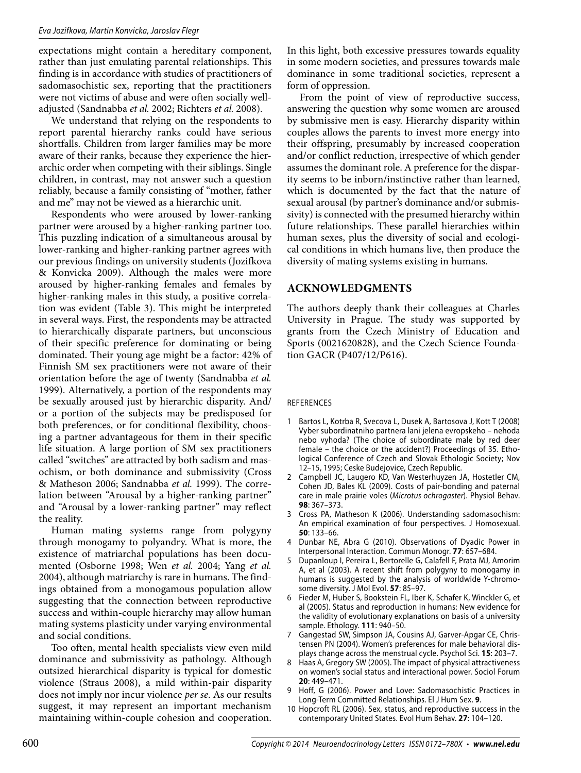#### Eva Jozifkova, Martin Konvicka, Jaroslav Flegr

expectations might contain a hereditary component, rather than just emulating parental relationships. This finding is in accordance with studies of practitioners of sadomasochistic sex, reporting that the practitioners were not victims of abuse and were often socially welladjusted (Sandnabba *et al.* 2002; Richters *et al.* 2008).

We understand that relying on the respondents to report parental hierarchy ranks could have serious shortfalls. Children from larger families may be more aware of their ranks, because they experience the hierarchic order when competing with their siblings. Single children, in contrast, may not answer such a question reliably, because a family consisting of "mother, father and me" may not be viewed as a hierarchic unit.

Respondents who were aroused by lower-ranking partner were aroused by a higher-ranking partner too. This puzzling indication of a simultaneous arousal by lower-ranking and higher-ranking partner agrees with our previous findings on university students (Jozifkova & Konvicka 2009). Although the males were more aroused by higher-ranking females and females by higher-ranking males in this study, a positive correlation was evident (Table 3). This might be interpreted in several ways. First, the respondents may be attracted to hierarchically disparate partners, but unconscious of their specific preference for dominating or being dominated. Their young age might be a factor: 42% of Finnish SM sex practitioners were not aware of their orientation before the age of twenty (Sandnabba *et al.*  1999). Alternatively, a portion of the respondents may be sexually aroused just by hierarchic disparity. And/ or a portion of the subjects may be predisposed for both preferences, or for conditional flexibility, choosing a partner advantageous for them in their specific life situation. A large portion of SM sex practitioners called "switches" are attracted by both sadism and masochism, or both dominance and submissivity (Cross & Matheson 2006; Sandnabba *et al.* 1999). The correlation between "Arousal by a higher-ranking partner" and "Arousal by a lower-ranking partner" may reflect the reality.

Human mating systems range from polygyny through monogamy to polyandry. What is more, the existence of matriarchal populations has been documented (Osborne 1998; Wen *et al.* 2004; Yang *et al.*  2004), although matriarchy is rare in humans. The findings obtained from a monogamous population allow suggesting that the connection between reproductive success and within-couple hierarchy may allow human mating systems plasticity under varying environmental and social conditions.

Too often, mental health specialists view even mild dominance and submissivity as pathology. Although outsized hierarchical disparity is typical for domestic violence (Straus 2008), a mild within-pair disparity does not imply nor incur violence *per se*. As our results suggest, it may represent an important mechanism maintaining within-couple cohesion and cooperation.

In this light, both excessive pressures towards equality in some modern societies, and pressures towards male dominance in some traditional societies, represent a form of oppression.

From the point of view of reproductive success, answering the question why some women are aroused by submissive men is easy. Hierarchy disparity within couples allows the parents to invest more energy into their offspring, presumably by increased cooperation and/or conflict reduction, irrespective of which gender assumes the dominant role. A preference for the disparity seems to be inborn/instinctive rather than learned, which is documented by the fact that the nature of sexual arousal (by partner's dominance and/or submissivity) is connected with the presumed hierarchy within future relationships. These parallel hierarchies within human sexes, plus the diversity of social and ecological conditions in which humans live, then produce the diversity of mating systems existing in humans.

#### **ACKNOWLEDGMENTS**

The authors deeply thank their colleagues at Charles University in Prague. The study was supported by grants from the Czech Ministry of Education and Sports (0021620828), and the Czech Science Foundation GACR (P407/12/P616).

#### REFERENCES

- 1 Bartos L, Kotrba R, Svecova L, Dusek A, Bartosova J, Kott T (2008) Vyber subordinatniho partnera lani jelena evropskeho – nehoda nebo vyhoda? (The choice of subordinate male by red deer female – the choice or the accident?) Proceedings of 35. Ethological Conference of Czech and Slovak Ethologic Society; Nov 12–15, 1995; Ceske Budejovice, Czech Republic.
- 2 Campbell JC, Laugero KD, Van Westerhuyzen JA, Hostetler CM, Cohen JD, Bales KL (2009). Costs of pair-bonding and paternal care in male prairie voles (Microtus ochrogaster). Physiol Behav. **98**: 367–373.
- 3 Cross PA, Matheson K (2006). Understanding sadomasochism: An empirical examination of four perspectives. J Homosexual. **50**: 133–66.
- Dunbar NE, Abra G (2010). Observations of Dyadic Power in Interpersonal Interaction. Commun Monogr. **77**: 657–684.
- 5 Dupanloup I, Pereira L, Bertorelle G, Calafell F, Prata MJ, Amorim A, et al (2003). A recent shift from polygyny to monogamy in humans is suggested by the analysis of worldwide Y-chromosome diversity. J Mol Evol. **57**: 85–97.
- 6 Fieder M, Huber S, Bookstein FL, Iber K, Schafer K, Winckler G, et al (2005). Status and reproduction in humans: New evidence for the validity of evolutionary explanations on basis of a university sample. Ethology. **111**: 940–50.
- 7 Gangestad SW, Simpson JA, Cousins AJ, Garver-Apgar CE, Christensen PN (2004). Women's preferences for male behavioral displays change across the menstrual cycle. Psychol Sci. **15**: 203–7.
- Haas A, Gregory SW (2005). The impact of physical attractiveness on women's social status and interactional power. Sociol Forum **20**: 449–471.
- 9 Hoff, G (2006). Power and Love: Sadomasochistic Practices in Long-Term Committed Relationships. El J Hum Sex. **9**.
- 10 Hopcroft RL (2006). Sex, status, and reproductive success in the contemporary United States. Evol Hum Behav. **27**: 104–120.